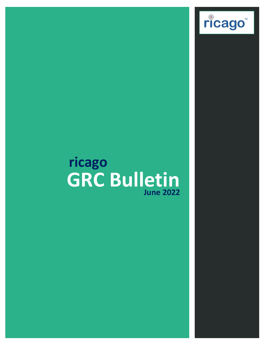

ricago<sup>®</sup>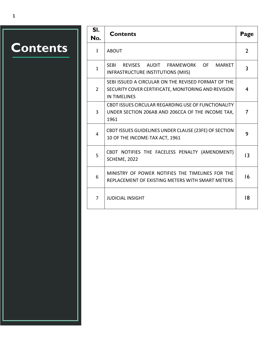# **Contents**

| SI.<br>No.     | <b>Contents</b>                                                                                                                   | Page            |
|----------------|-----------------------------------------------------------------------------------------------------------------------------------|-----------------|
| L              | <b>ABOUT</b>                                                                                                                      | $\overline{2}$  |
| $\mathbf{1}$   | <b>SEBI</b><br>REVISES AUDIT FRAMEWORK OF<br><b>MARKET</b><br>INFRASTRUCTURE INSTITUTIONS (MIIS)                                  | 3               |
| $\overline{2}$ | SEBI ISSUED A CIRCULAR ON THE REVISED FORMAT OF THE<br>SECURITY COVER CERTIFICATE, MONITORING AND REVISION<br><b>IN TIMELINES</b> | 4               |
| 3              | CBDT ISSUES CIRCULAR REGARDING USE OF FUNCTIONALITY<br>UNDER SECTION 206AB AND 206CCA OF THE INCOME TAX,<br>1961                  | 7               |
| 4              | CBDT ISSUES GUIDELINES UNDER CLAUSE (23FE) OF SECTION<br>10 OF THE INCOME-TAX ACT, 1961                                           | 9               |
| 5              | CBDT NOTIFIES THE FACELESS PENALTY (AMENDMENT)<br>SCHEME, 2022                                                                    | $\overline{13}$ |
| 6              | MINISTRY OF POWER NOTIFIES THE TIMELINES FOR THE<br>REPLACEMENT OF EXISTING METERS WITH SMART METERS                              | 16              |
| 7              | <b>JUDICIAL INSIGHT</b>                                                                                                           | 18              |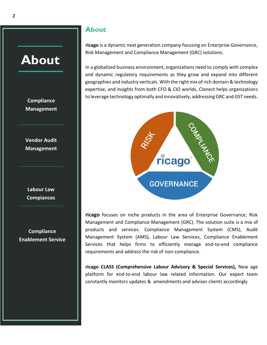### <span id="page-2-0"></span>**About**

### **Compliance Management**

**Vendor Audit Management**

**Labour Law Compiances**

**Compliance Enablement Service**

### **About**

**ricago** is a dynamic next generation company focusing on Enterprise Governance, Risk Management and Compliance Management (GRC) solutions.

In a globalized business environment, organizations need to comply with complex and dynamic regulatory requirements as they grow and expand into different geographies and industry verticals. With the right mix of rich domain & technology expertise, and insights from both CFO & CIO worlds, Clonect helps organizations to leverage technology optimally and innovatively, addressing GRC and GST needs.



**ricago** focuses on niche products in the area of Enterprise Governance, Risk Management and Compliance Management (GRC). The solution suite is a mix of products and services. Compliance Management System (CMS), Audit Management System (AMS), Labour Law Services, Compliance Enablement Services that helps firms to efficiently manage end-to-end compliance requirements and address the risk of non-compliance.

**ricago CLASS (Comprehensive Labour Advisory & Special Services),** New age platform for end-to-end labour law related information. Our expert team constantly monitors updates & amendments and advises clients accordingly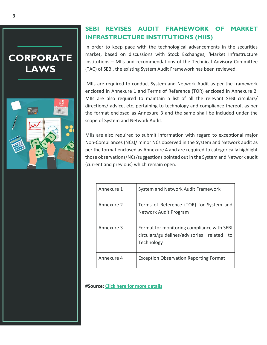### <span id="page-3-0"></span>**CORPORATE LAWS**



### **SEBI REVISES AUDIT FRAMEWORK OF MARKET INFRASTRUCTURE INSTITUTIONS (MIIS)**

In order to keep pace with the technological advancements in the securities market, based on discussions with Stock Exchanges, 'Market Infrastructure Institutions – MIIs and recommendations of the Technical Advisory Committee (TAC) of SEBI, the existing System Audit Framework has been reviewed.

MIIs are required to conduct System and Network Audit as per the framework enclosed in Annexure 1 and Terms of Reference (TOR) enclosed in Annexure 2. MIIs are also required to maintain a list of all the relevant SEBI circulars/ directions/ advice, etc. pertaining to technology and compliance thereof, as per the format enclosed as Annexure 3 and the same shall be included under the scope of System and Network Audit.

MIIs are also required to submit information with regard to exceptional major Non-Compliances (NCs)/ minor NCs observed in the System and Network audit as per the format enclosed as Annexure 4 and are required to categorically highlight those observations/NCs/suggestions pointed out in the System and Network audit (current and previous) which remain open.

| Annexure 1 | System and Network Audit Framework                                                                        |
|------------|-----------------------------------------------------------------------------------------------------------|
| Annexure 2 | Terms of Reference (TOR) for System and<br>Network Audit Program                                          |
| Annexure 3 | Format for monitoring compliance with SEBI<br>circulars/guidelines/advisories related<br>to<br>Technology |
| Annexure 4 | <b>Exception Observation Reporting Format</b>                                                             |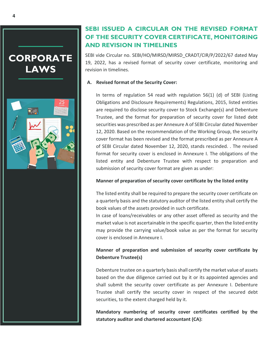<span id="page-4-0"></span>



### **SEBI ISSUED A CIRCULAR ON THE REVISED FORMAT OF THE SECURITY COVER CERTIFICATE, MONITORING AND REVISION IN TIMELINES**

SEBI vide Circular no. SEBI/HO/MIRSD/MIRSD\_CRADT/CIR/P/2022/67 dated May 19, 2022, has a revised format of security cover certificate, monitoring and revision in timelines.

### **A. Revised format of the Security Cover:**

In terms of regulation 54 read with regulation 56(1) (d) of SEBI (Listing Obligations and Disclosure Requirements) Regulations, 2015, listed entities are required to disclose security cover to Stock Exchange(s) and Debenture Trustee, and the format for preparation of security cover for listed debt securities was prescribed as per Annexure A of SEBI Circular dated November 12, 2020. Based on the recommendation of the Working Group, the security cover format has been revised and the format prescribed as per Annexure A of SEBI Circular dated November 12, 2020, stands rescinded. . The revised format for security cover is enclosed in Annexure I. The obligations of the listed entity and Debenture Trustee with respect to preparation and submission of security cover format are given as under:

### **Manner of preparation of security cover certificate by the listed entity**

The listed entity shall be required to prepare the security cover certificate on a quarterly basis and the statutory auditor of the listed entity shall certify the book values of the assets provided in such certificate.

In case of loans/receivables or any other asset offered as security and the market value is not ascertainable in the specific quarter, then the listed entity may provide the carrying value/book value as per the format for security cover is enclosed in Annexure I.

### **Manner of preparation and submission of security cover certificate by Debenture Trustee(s)**

Debenture trustee on a quarterly basis shall certify the market value of assets based on the due diligence carried out by it or its appointed agencies and shall submit the security cover certificate as per Annexure I. Debenture Trustee shall certify the security cover in respect of the secured debt securities, to the extent charged held by it.

**Mandatory numbering of security cover certificates certified by the statutory auditor and chartered accountant (CA):**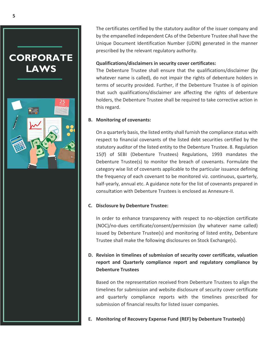### **CORPORATE LAWS**



The certificates certified by the statutory auditor of the issuer company and by the empanelled independent CAs of the Debenture Trustee shall have the Unique Document Identification Number (UDIN) generated in the manner prescribed by the relevant regulatory authority.

#### **Qualifications/disclaimers in security cover certificates:**

The Debenture Trustee shall ensure that the qualifications/disclaimer (by whatever name is called), do not impair the rights of debenture holders in terms of security provided. Further, if the Debenture Trustee is of opinion that such qualifications/disclaimer are affecting the rights of debenture holders, the Debenture Trustee shall be required to take corrective action in this regard.

#### **B. Monitoring of covenants:**

On a quarterly basis, the listed entity shall furnish the compliance status with respect to financial covenants of the listed debt securities certified by the statutory auditor of the listed entity to the Debenture Trustee. 8. Regulation 15(f) of SEBI (Debenture Trustees) Regulations, 1993 mandates the Debenture Trustee(s) to monitor the breach of covenants. Formulate the category wise list of covenants applicable to the particular issuance defining the frequency of each covenant to be monitored viz. continuous, quarterly, half-yearly, annual etc. A guidance note for the list of covenants prepared in consultation with Debenture Trustees is enclosed as Annexure-II.

### **C. Disclosure by Debenture Trustee:**

In order to enhance transparency with respect to no-objection certificate (NOC)/no-dues certificate/consent/permission (by whatever name called) issued by Debenture Trustee(s) and monitoring of listed entity, Debenture Trustee shall make the following disclosures on Stock Exchange(s).

### **D. Revision in timelines of submission of security cover certificate, valuation report and Quarterly compliance report and regulatory compliance by Debenture Trustees**

Based on the representation received from Debenture Trustees to align the timelines for submission and website disclosure of security cover certificate and quarterly compliance reports with the timelines prescribed for submission of financial results for listed issuer companies.

**E. Monitoring of Recovery Expense Fund (REF) by Debenture Trustee(s)**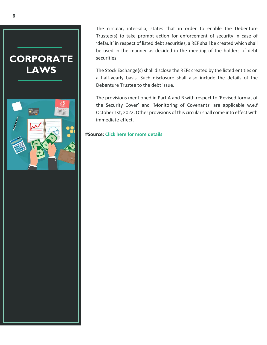### **CORPORATE LAWS**



The circular, inter-alia, states that in order to enable the Debenture Trustee(s) to take prompt action for enforcement of security in case of 'default' in respect of listed debt securities, a REF shall be created which shall be used in the manner as decided in the meeting of the holders of debt securities.

The Stock Exchange(s) shall disclose the REFs created by the listed entities on a half-yearly basis. Such disclosure shall also include the details of the Debenture Trustee to the debt issue.

The provisions mentioned in Part A and B with respect to 'Revised format of the Security Cover' and 'Monitoring of Covenants' are applicable w.e.f October 1st, 2022. Other provisions of this circular shall come into effect with immediate effect.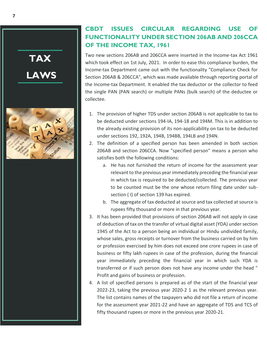

### <span id="page-7-0"></span>**CBDT ISSUES CIRCULAR REGARDING USE OF FUNCTIONALITY UNDER SECTION 206AB AND 206CCA OF THE INCOME TAX, 1961**

Two new sections 206AB and 206CCA were inserted in the Income-tax Act 1961 which took effect on 1st July, 2021. In order to ease this compliance burden, the Income-tax Department came out with the functionality "Compliance Check for Section 206AB & 206CCA", which was made available through reporting portal of the Income-tax Department. It enabled the tax deductor or the collector to feed the single PAN (PAN search) or multiple PANs (bulk search) of the deductee or collectee.

- 1. The provision of higher TDS under section 206AB is not applicable to tax to be deducted under sections 194-IA, 194-18 and 194M. This is in addition to the already existing provision of its non-applicability on tax to be deducted under sections 192, 192A, 194B, 194BB, 194LB and 194N.
- 2. The definition of a specified person has been amended in both section 206AB and section 206CCA. Now "specified person" means a person who satisfies both the following conditions:
	- a. He has not furnished the return of income for the assessment year relevant to the previous year immediately preceding the financial year in which tax is required to be deducted/collected. The previous year to be counted must be the one whose return filing date under subsection ( I) of section 139 has expired.
	- b. The aggregate of tax deducted at source and tax collected at source is rupees fifty thousand or more in that previous year.
- 3. It has been provided that provisions of section 206AB will not apply in case of deduction of tax on the transfer of virtual digital asset (YDA) under section 1945 of the Act to a person being an individual or Hindu undivided family, whose sales, gross receipts or turnover from the business carried on by him or profession exercised by him does not exceed one crore rupees in case of business or fifty lakh rupees in case of the profession, during the financial year immediately preceding the financial year in which such YDA is transferred or if such person does not have any income under the head " Profit and gains of business or profession.
- 4. A list of specified persons is prepared as of the start of the financial year 2022-23, taking the previous year 2020-2 1 as the relevant previous year. The list contains names of the taxpayers who did not file a return of income for the assessment year 2021-22 and have an aggregate of TDS and TCS of fifty thousand rupees or more in the previous year 2020-21.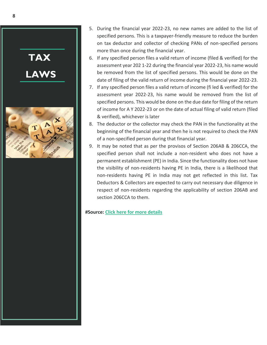

- 5. During the financial year 2022-23, no new names are added to the list of specified persons. This is a taxpayer-friendly measure to reduce the burden on tax deductor and collector of checking PANs of non-specified persons more than once during the financial year.
- 6. If any specified person files a valid return of income (filed & verified) for the assessment year 202 1-22 during the financial year 2022-23, his name would be removed from the list of specified persons. This would be done on the date of filing of the valid return of income during the financial year 2022-23.
- 7. If any specified person files a valid return of income (fi led & verified) for the assessment year 2022-23, his name would be removed from the list of specified persons. This would be done on the due date for filing of the return of income for A Y 2022-23 or on the date of actual filing of valid return (filed & verified), whichever is later
- 8. The deductor or the collector may check the PAN in the functionality at the beginning of the financial year and then he is not required to check the PAN of a non-specified person during that financial year.
- 9. It may be noted that as per the provisos of Section 206AB & 206CCA, the specified person shall not include a non-resident who does not have a permanent establishment (PE) in India. Since the functionality does not have the visibility of non-residents having PE in India, there is a likelihood that non-residents having PE in India may not get reflected in this list. Tax Deductors & Collectors are expected to carry out necessary due diligence in respect of non-residents regarding the applicability of section 206AB and section 206CCA to them.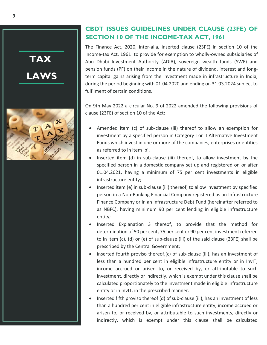

### <span id="page-9-0"></span>**CBDT ISSUES GUIDELINES UNDER CLAUSE (23FE) OF SECTION 10 OF THE INCOME-TAX ACT, 1961**

The Finance Act, 2020, inter-alia, inserted clause (23FE) in section 10 of the Income-tax Act, 1961 to provide for exemption to wholly-owned subsidiaries of Abu Dhabi Investment Authority (ADIA), sovereign wealth funds (SWF) and pension funds (PF) on their income in the nature of dividend, interest and longterm capital gains arising from the investment made in infrastructure in India, during the period beginning with 01.04.2020 and ending on 31.03.2024 subject to fulfilment of certain conditions.

On 9th May 2022 a circular No. 9 of 2022 amended the following provisions of clause (23FE) of section 10 of the Act:

- Amended item (c) of sub-clause (iii) thereof to allow an exemption for investment by a specified person in Category I or II Alternative Investment Funds which invest in one or more of the companies, enterprises or entities as referred to in item 'b'.
- Inserted item (d) in sub-clause (iii) thereof, to allow investment by the specified person in a domestic company set up and registered on or after 01.04.2021, having a minimum of 75 per cent investments in eligible infrastructure entity;
- Inserted item (e) in sub-clause (iii) thereof, to allow investment by specified person in a Non-Banking Financial Company registered as an Infrastructure Finance Company or in an Infrastructure Debt Fund (hereinafter referred to as NBFC), having minimum 90 per cent lending in eligible infrastructure entity;
- Inserted Explanation 3 thereof, to provide that the method for determination of 50 per cent, 75 per cent or 90 per cent investment referred to in item (c), (d) or (e) of sub-clause (iii) of the said clause (23FE) shall be prescribed by the Central Government;
- inserted fourth proviso thereof,(c) of sub-clause (iii), has an investment of less than a hundred per cent in eligible infrastructure entity or in InvIT, income accrued or arisen to, or received by, or attributable to such investment, directly or indirectly, which is exempt under this clause shall be calculated proportionately to the investment made in eligible infrastructure entity or in InvIT, in the prescribed manner.
- Inserted fifth proviso thereof (d) of sub-clause (iii), has an investment of less than a hundred per cent in eligible infrastructure entity, income accrued or arisen to, or received by, or attributable to such investments, directly or indirectly, which is exempt under this clause shall be calculated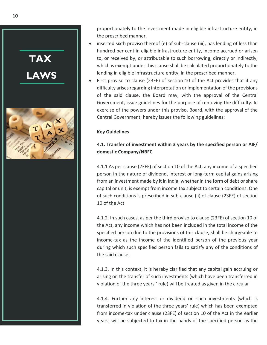

proportionately to the investment made in eligible infrastructure entity, in the prescribed manner.

- inserted sixth proviso thereof (e) of sub-clause (iii), has lending of less than hundred per cent in eligible infrastructure entity, income accrued or arisen to, or received by, or attributable to such borrowing, directly or indirectly, which is exempt under this clause shall be calculated proportionately to the lending in eligible infrastructure entity, in the prescribed manner.
- First proviso to clause (23FE) of section 10 of the Act provides that if any difficulty arises regarding interpretation or implementation of the provisions of the said clause, the Board may, with the approval of the Central Government, issue guidelines for the purpose of removing the difficulty. In exercise of the powers under this proviso, Board, with the approval of the Central Government, hereby issues the following guidelines:

### **Key Guidelines**

### **4.1. Transfer of investment within 3 years by the specified person or AIF/ domestic Company/NBFC**

4.1.1 As per clause (23FE) of section 10 of the Act, any income of a specified person in the nature of dividend, interest or long-term capital gains arising from an investment made by it in India, whether in the form of debt or share capital or unit, is exempt from income tax subject to certain conditions. One of such conditions is prescribed in sub-clause (ii) of clause (23FE) of section 10 of the Act

4.1.2. In such cases, as per the third proviso to clause (23FE) of section 10 of the Act, any income which has not been included in the total income of the specified person due to the provisions of this clause, shall be chargeable to income-tax as the income of the identified person of the previous year during which such specified person fails to satisfy any of the conditions of the said clause.

4.1.3. In this context, it is hereby clarified that any capital gain accruing or arising on the transfer of such investments (which have been transferred in violation of the three years'' rule) will be treated as given in the circular

4.1.4. Further any interest or dividend on such investments (which is transferred in violation of the three years' rule) which has been exempted from income-tax under clause (23FE) of section 10 of the Act in the earlier years, will be subjected to tax in the hands of the specified person as the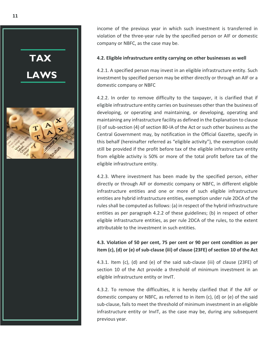

income of the previous year in which such investment is transferred in violation of the three-year rule by the specified person or AIF or domestic company or NBFC, as the case may be.

#### **4.2. Eligible infrastructure entity carrying on other businesses as well**

4.2.1. A specified person may invest in an eligible infrastructure entity. Such investment by specified person may be either directly or through an AIF or a domestic company or NBFC

4.2.2. In order to remove difficulty to the taxpayer, it is clarified that if eligible infrastructure entity carries on businesses other than the business of developing, or operating and maintaining, or developing, operating and maintaining any infrastructure facility as defined in the Explanation to clause (i) of sub-section (4) of section 80-IA of the Act or such other business as the Central Government may, by notification in the Official Gazette, specify in this behalf (hereinafter referred as "eligible activity"), the exemption could still be provided if the profit before tax of the eligible infrastructure entity from eligible activity is 50% or more of the total profit before tax of the eligible infrastructure entity.

4.2.3. Where investment has been made by the specified person, either directly or through AIF or domestic company or NBFC, in different eligible infrastructure entities and one or more of such eligible infrastructure entities are hybrid infrastructure entities, exemption under rule 2DCA of the rules shall be computed as follows: (a) in respect of the hybrid infrastructure entities as per paragraph 4.2.2 of these guidelines; (b) in respect of other eligible infrastructure entities, as per rule 2DCA of the rules, to the extent attributable to the investment in such entities.

### **4.3. Violation of 50 per cent, 75 per cent or 90 per cent condition as per item (c), (d) or (e) of sub-clause (iii) of clause (23FE) of section 10 of the Act**

4.3.1. Item (c), (d) and (e) of the said sub-clause (iii) of clause (23FE) of section 10 of the Act provide a threshold of minimum investment in an eligible infrastructure entity or InvIT.

4.3.2. To remove the difficulties, it is hereby clarified that if the AIF or domestic company or NBFC, as referred to in item (c), (d) or (e) of the said sub-clause, fails to meet the threshold of minimum investment in an eligible infrastructure entity or InvIT, as the case may be, during any subsequent previous year.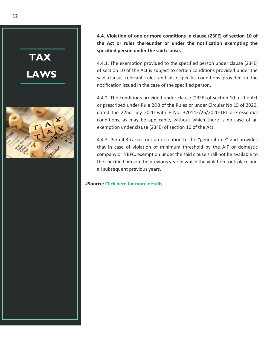

**4.4. Violation of one or more conditions in clause (23FE) of section 10 of the Act or rules thereunder or under the notification exempting the specified person under the said clause.**

4.4.1. The exemption provided to the specified person under clause (23FE) of section 10 of the Act is subject to certain conditions provided under the said clause, relevant rules and also specific conditions provided in the notification issued in the case of the specified person.

4.4.2. The conditions provided under clause (23FE) of section 10 of the Act or prescribed under Rule 2DB of the Rules or under Circular No 15 of 2020, dated the 22nd July 2020 with F No. 370142/26/2020-TPL are essential conditions, as may be applicable, without which there is no case of an exemption under clause (23FE) of section 10 of the Act.

4.4.3. Para 4.3 carves out an exception to the "general rule" and provides that in case of violation of minimum threshold by the AIF or domestic company or NBFC, exemption under the said clause shall not be available to the specified person the previous year in which the violation took place and all subsequent previous years.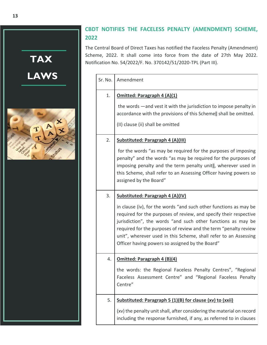

### <span id="page-13-0"></span>**CBDT NOTIFIES THE FACELESS PENALTY (AMENDMENT) SCHEME, 2022**

The Central Board of Direct Taxes has notified the Faceless Penalty (Amendment) Scheme, 2022. It shall come into force from the date of 27th May 2022. Notification No. 54/2022/F. No. 370142/51/2020-TPL (Part III).

| Sr. No. | Amendment                                                                                                                                                                                                                                                                                                                                                                                                                             |  |
|---------|---------------------------------------------------------------------------------------------------------------------------------------------------------------------------------------------------------------------------------------------------------------------------------------------------------------------------------------------------------------------------------------------------------------------------------------|--|
| 1.      | <b>Omitted: Paragraph 4 (A)(1)</b><br>the words —and vest it with the jurisdiction to impose penalty in<br>accordance with the provisions of this Scheme   shall be omitted.<br>(II) clause (ii) shall be omitted                                                                                                                                                                                                                     |  |
| 2.      | Substituted: Paragraph 4 (A)(III)<br>for the words "as may be required for the purposes of imposing<br>penalty" and the words "as may be required for the purposes of<br>imposing penalty and the term penalty unit  , wherever used in<br>this Scheme, shall refer to an Assessing Officer having powers so<br>assigned by the Board"                                                                                                |  |
| 3.      | Substituted: Paragraph 4 (A)(IV)<br>in clause (iv), for the words "and such other functions as may be<br>required for the purposes of review, and specify their respective<br>jurisdiction", the words "and such other functions as may be<br>required for the purposes of review and the term "penalty review<br>unit", wherever used in this Scheme, shall refer to an Assessing<br>Officer having powers so assigned by the Board" |  |
| 4.      | <b>Omitted: Paragraph 4 (B)(4)</b><br>the words: the Regional Faceless Penalty Centres", "Regional<br>Faceless Assessment Centre" and "Regional Faceless Penalty<br>Centre"                                                                                                                                                                                                                                                           |  |
| 5.      | Substituted: Paragraph 5 (1)(B) for clause (xv) to (xxii)<br>(xv) the penalty unit shall, after considering the material on record<br>including the response furnished, if any, as referred to in clauses                                                                                                                                                                                                                             |  |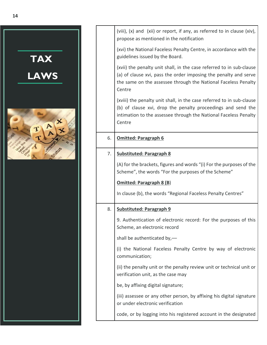

|    | (viii), (x) and (xii) or report, if any, as referred to in clause (xiv),<br>propose as mentioned in the notification                                                                                                 |  |
|----|----------------------------------------------------------------------------------------------------------------------------------------------------------------------------------------------------------------------|--|
|    | (xvi) the National Faceless Penalty Centre, in accordance with the<br>guidelines issued by the Board.                                                                                                                |  |
|    | (xvii) the penalty unit shall, in the case referred to in sub-clause<br>(a) of clause xvi, pass the order imposing the penalty and serve<br>the same on the assessee through the National Faceless Penalty<br>Centre |  |
|    | (xviii) the penalty unit shall, in the case referred to in sub-clause<br>(b) of clause xvi, drop the penalty proceedings and send the<br>intimation to the assessee through the National Faceless Penalty<br>Centre  |  |
| 6. | <b>Omitted: Paragraph 6</b>                                                                                                                                                                                          |  |
| 7. | <b>Substituted: Paragraph 8</b>                                                                                                                                                                                      |  |
|    | (A) for the brackets, figures and words "(i) For the purposes of the<br>Scheme", the words "For the purposes of the Scheme"                                                                                          |  |
|    | <b>Omitted: Paragraph 8 (B)</b>                                                                                                                                                                                      |  |
|    | In clause (b), the words "Regional Faceless Penalty Centres"                                                                                                                                                         |  |
| 8. | <b>Substituted: Paragraph 9</b>                                                                                                                                                                                      |  |
|    | 9. Authentication of electronic record: For the purposes of this<br>Scheme, an electronic record                                                                                                                     |  |
|    | shall be authenticated by,-                                                                                                                                                                                          |  |
|    | (i) the National Faceless Penalty Centre by way of electronic<br>communication;                                                                                                                                      |  |
|    | (ii) the penalty unit or the penalty review unit or technical unit or<br>verification unit, as the case may                                                                                                          |  |
|    | be, by affixing digital signature;                                                                                                                                                                                   |  |
|    | (iii) assessee or any other person, by affixing his digital signature<br>or under electronic verification                                                                                                            |  |
|    | code, or by logging into his registered account in the designated                                                                                                                                                    |  |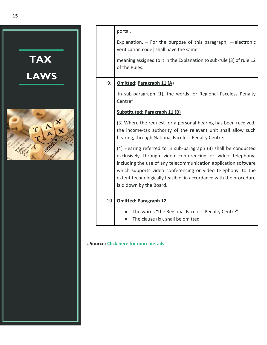

|    | portal.<br>Explanation. $-$ For the purpose of this paragraph, $-$ electronic<br>verification code   shall have the same<br>meaning assigned to it in the Explanation to sub-rule (3) of rule 12<br>of the Rules.                                                                                                                                                |  |  |
|----|------------------------------------------------------------------------------------------------------------------------------------------------------------------------------------------------------------------------------------------------------------------------------------------------------------------------------------------------------------------|--|--|
| 9. | <b>Omitted: Paragraph 11 (A)</b>                                                                                                                                                                                                                                                                                                                                 |  |  |
|    | in sub-paragraph (1), the words: or Regional Faceless Penalty<br>Centre".                                                                                                                                                                                                                                                                                        |  |  |
|    | Substituted: Paragraph 11 (B)                                                                                                                                                                                                                                                                                                                                    |  |  |
|    | (3) Where the request for a personal hearing has been received,<br>the income-tax authority of the relevant unit shall allow such<br>hearing, through National Faceless Penalty Centre.                                                                                                                                                                          |  |  |
|    | (4) Hearing referred to in sub-paragraph (3) shall be conducted<br>exclusively through video conferencing or video telephony,<br>including the use of any telecommunication application software<br>which supports video conferencing or video telephony, to the<br>extent technologically feasible, in accordance with the procedure<br>laid down by the Board. |  |  |
| 10 | <b>Omitted: Paragraph 12</b>                                                                                                                                                                                                                                                                                                                                     |  |  |
|    | The words "the Regional Faceless Penalty Centre"<br>The clause (ix), shall be omitted                                                                                                                                                                                                                                                                            |  |  |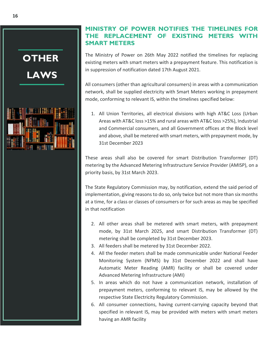## <span id="page-16-0"></span>**OTHER LAWS**



### **MINISTRY OF POWER NOTIFIES THE TIMELINES FOR THE REPLACEMENT OF EXISTING METERS WITH SMART METERS**

The Ministry of Power on 26th May 2022 notified the timelines for replacing existing meters with smart meters with a prepayment feature. This notification is in suppression of notification dated 17th August 2021.

All consumers (other than agricultural consumers) in areas with a communication network, shall be supplied electricity with Smart Meters working in prepayment mode, conforming to relevant IS, within the timelines specified below:

1. All Union Territories, all electrical divisions with high AT&C Loss (Urban Areas with AT&C loss >15% and rural areas with AT&C loss >25%), Industrial and Commercial consumers, and all Government offices at the Block level and above, shall be metered with smart meters, with prepayment mode, by 31st December 2023

These areas shall also be covered for smart Distribution Transformer (DT) metering by the Advanced Metering Infrastructure Service Provider (AMISP), on a priority basis, by 31st March 2023.

The State Regulatory Commission may, by notification, extend the said period of implementation, giving reasons to do so, only twice but not more than six months at a time, for a class or classes of consumers or for such areas as may be specified in that notification

- 2. All other areas shall be metered with smart meters, with prepayment mode, by 31st March 2025, and smart Distribution Transformer (DT) metering shall be completed by 31st December 2023.
- 3. All feeders shall be metered by 31st December 2022.
- 4. All the feeder meters shall be made communicable under National Feeder Monitoring System (NFMS) by 31st December 2022 and shall have Automatic Meter Reading (AMR) facility or shall be covered under Advanced Metering Infrastructure (AMI)
- 5. In areas which do not have a communication network, installation of prepayment meters, conforming to relevant IS, may be allowed by the respective State Electricity Regulatory Commission.
- 6. All consumer connections, having current-carrying capacity beyond that specified in relevant IS, may be provided with meters with smart meters having an AMR facility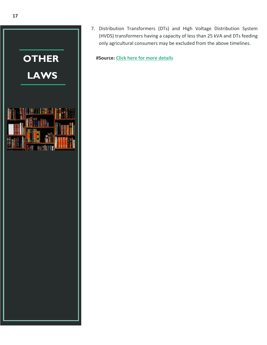

7. Distribution Transformers (DTs) and High Voltage Distribution System (HVDS) transformers having a capacity of less than 25 kVA and DTs feeding only agricultural consumers may be excluded from the above timelines.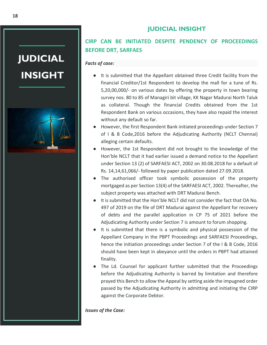**JUDICIAL INSIGHT**



### **CIRP CAN BE INITIATED DESPITE PENDENCY OF PROCEEDINGS BEFORE DRT, SARFAES**

### *Facts of case:*

- It is submitted that the Appellant obtained three Credit facility from the financial Creditor/1st Respondent to develop the mall for a tune of Rs. 5,20,00,000/- on various dates by offering the property in town bearing survey nos. 80 to 85 of Managiri bit village, KK Nagar Madurai North Taluk as collateral. Though the financial Credits obtained from the 1st Respondent Bank on various occasions, they have also repaid the interest without any default so far.
- However, the first Respondent Bank initiated proceedings under Section 7 of I & B Code,2016 before the Adjudicating Authority (NCLT Chennai) alleging certain defaults.
- However, the 1st Respondent did not brought to the knowledge of the Hon'ble NCLT that it had earlier issued a demand notice to the Appellant under Section 13 (2) of SARFAESI ACT, 2002 on 30.08.2018 for a default of Rs. 14,14,61,066/- followed by paper publication dated 27.09.2018.
- The authorised officer took symbolic possession of the property mortgaged as per Section 13(4) of the SARFAESI ACT, 2002. Thereafter, the subject property was attached with DRT Madurai Bench.
- It is submitted that the Hon'ble NCLT did not consider the fact that OA No. 497 of 2019 on the file of DRT Madurai against the Appellant for recovery of debts and the parallel application in CP 75 of 2021 before the Adjudicating Authority under Section 7 is amount to forum shopping.
- It is submitted that there is a symbolic and physical possession of the Appellant Company in the PBPT Proceedings and SARFAESI Proceedings, hence the initiation proceedings under Section 7 of the I & B Code, 2016 should have been kept in abeyance until the orders in PBPT had attained finality.
- The Ld. Counsel for applicant further submitted that the Proceedings before the Adjudicating Authority is barred by limitation and therefore prayed this Bench to allow the Appeal by setting aside the impugned order passed by the Adjudicating Authority in admitting and initiating the CIRP against the Corporate Debtor.

#### *Issues of the Case:*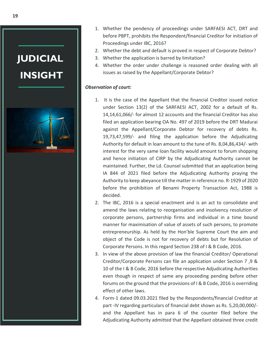

- 1. Whether the pendency of proceedings under SARFAESI ACT, DRT and before PBPT, prohibits the Respondent/financial Creditor for initiation of Proceedings under IBC, 2016?
- 2. Whether the debt and default is proved in respect of Corporate Debtor?
- 3. Whether the application is barred by limitation?
- 4. Whether the order under challenge is reasoned order dealing with all issues as raised by the Appellant/Corporate Debtor?

### *Observation of court:*

- 1. It is the case of the Appellant that the financial Creditor issued notice under Section 13(2) of the SARFAESI ACT, 2002 for a default of Rs. 14,14,61,066/- for almost 12 accounts and the financial Creditor has also filed an application bearing OA No. 497 of 2019 before the DRT Madurai against the Appellant/Corporate Debtor for recovery of debts Rs. 19,73,47,599/- and filing the application before the Adjudicating Authority for default in loan amount to the tune of Rs. 8,04,86,434/- with interest for the very same loan facility would amount to forum shopping and hence initiation of CIRP by the Adjudicating Authority cannot be maintained. Further, the Ld. Counsel submitted that an application being IA 844 of 2021 filed before the Adjudicating Authority praying the Authority to keep abeyance till the matter in reference no. R-1929 of 2020 before the prohibition of Benami Property Transaction Act, 1988 is decided.
- 2. The IBC, 2016 is a special enactment and is an act to consolidate and amend the laws relating to reorganisation and insolvency resolution of corporate persons, partnership firms and individual in a time bound manner for maximisation of value of assets of such persons, to promote entrepreneurship. As held by the Hon'ble Supreme Court the aim and object of the Code is not for recovery of debts but for Resolution of Corporate Persons. In this regard Section 238 of I & B Code, 2016.
- 3. In view of the above provision of law the financial Creditor/ Operational Creditor/Corporate Persons can file an application under Section 7 ,9 & 10 of the I & B Code, 2016 before the respective Adjudicating Authorities even though in respect of same any proceeding pending before other forums on the ground that the provisions of I & B Code, 2016 is overriding effect of other laws.
- 4. Form-1 dated 09.03.2021 filed by the Respondents/financial Creditor at part -IV regarding particulars of financial debt shown as Rs. 5,20,00,000/ and the Appellant has in para 6 of the counter filed before the Adjudicating Authority admitted that the Appellant obtained three credit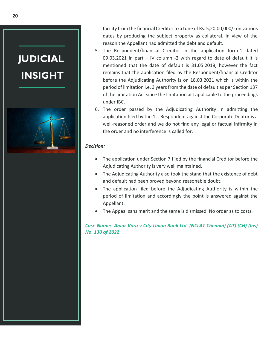

facility from the financial Creditor to a tune of Rs. 5,20,00,000/- on various dates by producing the subject property as collateral. In view of the reason the Appellant had admitted the debt and default.

- 5. The Respondent/financial Creditor in the application form-1 dated 09.03.2021 in part – IV column -2 with regard to date of default it is mentioned that the date of default is 31.05.2018, however the fact remains that the application filed by the Respondent/financial Creditor before the Adjudicating Authority is on 18.03.2021 which is within the period of limitation i.e. 3 years from the date of default as per Section 137 of the limitation Act since the limitation act applicable to the proceedings under IBC.
- 6. The order passed by the Adjudicating Authority in admitting the application filed by the 1st Respondent against the Corporate Debtor is a well-reasoned order and we do not find any legal or factual infirmity in the order and no interference is called for.

### *Decision:*

- The application under Section 7 filed by the financial Creditor before the Adjudicating Authority is very well maintained.
- The Adjudicating Authority also took the stand that the existence of debt and default had been proved beyond reasonable doubt.
- The application filed before the Adjudicating Authority is within the period of limitation and accordingly the point is answered against the Appellant.
- The Appeal sans merit and the same is dismissed. No order as to costs.

*Case Name: [Amar Vora v City Union Bank Ltd. \(NCLAT Chennai\) \(AT\) \(CH\) \(Ins\)](https://taxguru.in/wp-content/uploads/2022/05/Amar-Vora-v-City-Union-Bank-Ltd.-NCLAT-Chennai.pdf)  [No. 130 of 2022](https://taxguru.in/wp-content/uploads/2022/05/Amar-Vora-v-City-Union-Bank-Ltd.-NCLAT-Chennai.pdf)*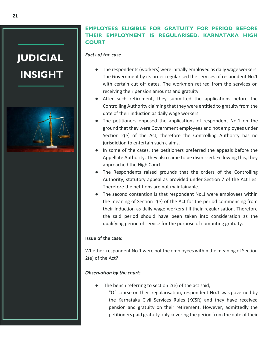

### **EMPLOYEES ELIGIBLE FOR GRATUITY FOR PERIOD BEFORE THEIR EMPLOYMENT IS REGULARISED: KARNATAKA HIGH COURT**

### *Facts of the case*

- The respondents (workers) were initially employed as daily wage workers. The Government by its order regularised the services of respondent No.1 with certain cut off dates. The workmen retired from the services on receiving their pension amounts and gratuity.
- After such retirement, they submitted the applications before the Controlling Authority claiming that they were entitled to gratuity from the date of their induction as daily wage workers.
- The petitioners opposed the applications of respondent No.1 on the ground that they were Government employees and not employees under Section 2(e) of the Act, therefore the Controlling Authority has no jurisdiction to entertain such claims.
- In some of the cases, the petitioners preferred the appeals before the Appellate Authority. They also came to be dismissed. Following this, they approached the High Court.
- The Respondents raised grounds that the orders of the Controlling Authority, statutory appeal as provided under Section 7 of the Act lies. Therefore the petitions are not maintainable.
- The second contention is that respondent No.1 were employees within the meaning of Section 2(e) of the Act for the period commencing from their induction as daily wage workers till their regularisation. Therefore the said period should have been taken into consideration as the qualifying period of service for the purpose of computing gratuity.

#### **Issue of the case:**

Whether respondent No.1 were not the employees within the meaning of Section 2(e) of the Act?

### *Observation by the court:*

- The bench referring to section  $2(e)$  of the act said,
	- "Of course on their regularisation, respondent No.1 was governed by the Karnataka Civil Services Rules (KCSR) and they have received pension and gratuity on their retirement. However, admittedly the petitioners paid gratuity only covering the period from the date of their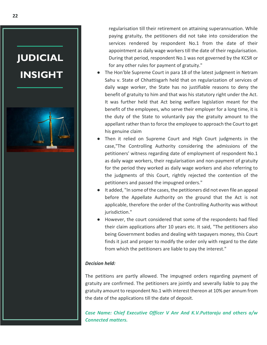

regularisation till their retirement on attaining superannuation. While paying gratuity, the petitioners did not take into consideration the services rendered by respondent No.1 from the date of their appointment as daily wage workers till the date of their regularisation. During that period, respondent No.1 was not governed by the KCSR or for any other rules for payment of gratuity."

- The Hon'ble Supreme Court in para 18 of the latest judgment in Netram Sahu v. State of Chhattisgarh held that on regularization of services of daily wage worker, the State has no justifiable reasons to deny the benefit of gratuity to him and that was his statutory right under the Act. It was further held that Act being welfare legislation meant for the benefit of the employees, who serve their employer for a long time, it is the duty of the State to voluntarily pay the gratuity amount to the appellant rather than to force the employee to approach the Court to get his genuine claim
- Then it relied on Supreme Court and High Court judgments in the case,"The Controlling Authority considering the admissions of the petitioners' witness regarding date of employment of respondent No.1 as daily wage workers, their regularisation and non-payment of gratuity for the period they worked as daily wage workers and also referring to the judgments of this Court, rightly rejected the contention of the petitioners and passed the impugned orders."
- It added, "In some of the cases, the petitioners did not even file an appeal before the Appellate Authority on the ground that the Act is not applicable, therefore the order of the Controlling Authority was without jurisdiction."
- However, the court considered that some of the respondents had filed their claim applications after 10 years etc. It said, "The petitioners also being Government bodies and dealing with taxpayers money, this Court finds it just and proper to modify the order only with regard to the date from which the petitioners are liable to pay the interest."

#### *Decision held:*

The petitions are partly allowed. The impugned orders regarding payment of gratuity are confirmed. The petitioners are jointly and severally liable to pay the gratuity amount to respondent No.1 with interest thereon at 10% per annum from the date of the applications till the date of deposit.

*Case Name: [Chief Executive Officer V Anr And K.V.Puttaraju and others a/w](https://www.livelaw.in/pdf_upload/karnataka-hc-workmen-418398.pdf) [Connected matters.](https://www.livelaw.in/pdf_upload/karnataka-hc-workmen-418398.pdf)*